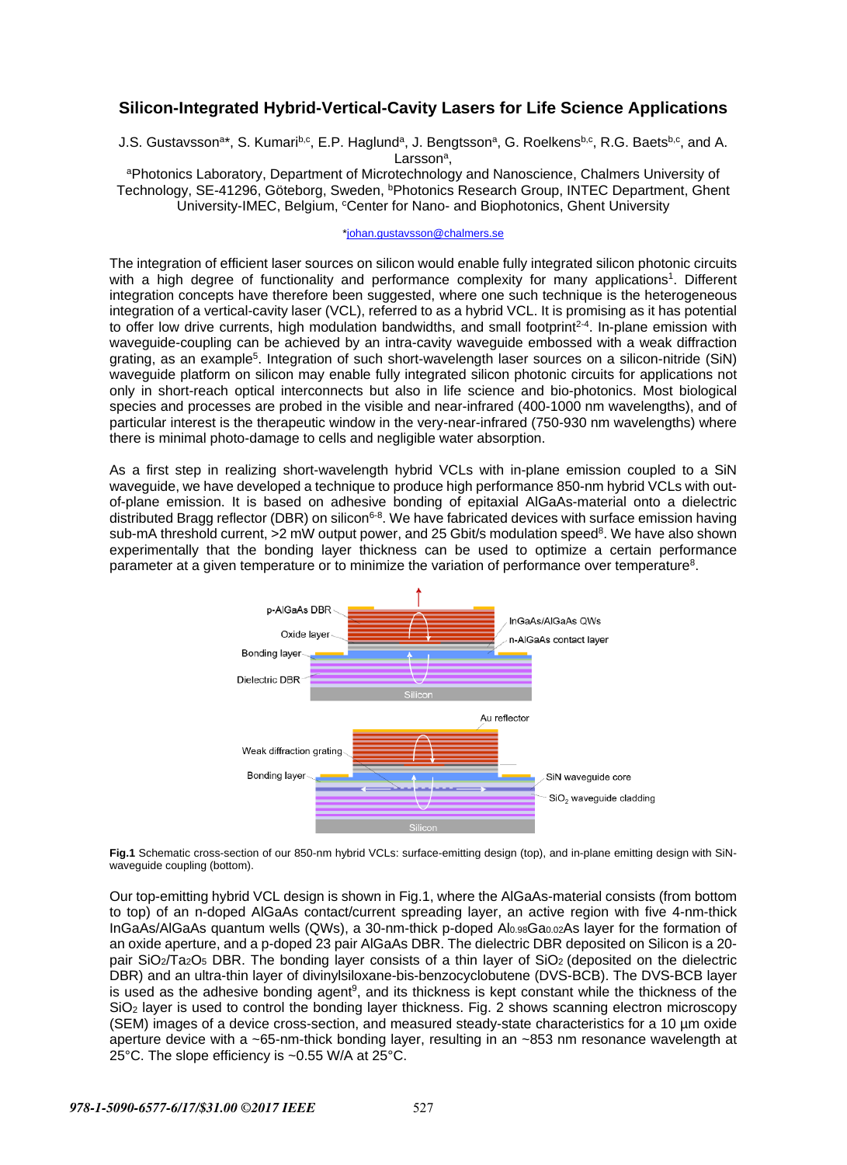## **Silicon-Integrated Hybrid-Vertical-Cavity Lasers for Life Science Applications**

J.S. Gustavsson<sup>a\*</sup>, S. Kumari<sup>b,c</sup>, E.P. Haglund<sup>a</sup>, J. Bengtsson<sup>a</sup>, G. Roelkens<sup>b,c</sup>, R.G. Baets<sup>b,c</sup>, and A. Larsson<sup>a</sup>,<br>APhotonics Laboratory, Department of Microtechnology and Nanoscience, Chalmers University of

Technology, SE-41296, Göteborg, Sweden, <sup>b</sup>Photonics Research Group, INTEC Department, Ghent University-IMEC, Belgium, <sup>c</sup>Center for Nano- and Biophotonics, Ghent University

[\\*johan.gustavsson@chalmers.se](mailto:johan.gustavsson@chalmers.se)

The integration of efficient laser sources on silicon would enable fully integrated silicon photonic circuits with a high degree of functionality and performance complexity for many applications<sup>1</sup>. Different integration concepts have therefore been suggested, where one such technique is the heterogeneous integration of a vertical-cavity laser (VCL), referred to as a hybrid VCL. It is promising as it has potential to offer low drive currents, high modulation bandwidths, and small footprint<sup>2-4</sup>. In-plane emission with waveguide-coupling can be achieved by an intra-cavity waveguide embossed with a weak diffraction grating, as an example<sup>5</sup>. Integration of such short-wavelength laser sources on a silicon-nitride (SiN) waveguide platform on silicon may enable fully integrated silicon photonic circuits for applications not only in short-reach optical interconnects but also in life science and bio-photonics. Most biological species and processes are probed in the visible and near-infrared (400-1000 nm wavelengths), and of particular interest is the therapeutic window in the very-near-infrared (750-930 nm wavelengths) where there is minimal photo-damage to cells and negligible water absorption.

As a first step in realizing short-wavelength hybrid VCLs with in-plane emission coupled to a SiN waveguide, we have developed a technique to produce high performance 850-nm hybrid VCLs with outof-plane emission. It is based on adhesive bonding of epitaxial AlGaAs-material onto a dielectric distributed Bragg reflector (DBR) on silicon<sup>6-8</sup>. We have fabricated devices with surface emission having sub-mA threshold current, >2 mW output power, and 25 Gbit/s modulation speed<sup>8</sup>. We have also shown experimentally that the bonding layer thickness can be used to optimize a certain performance parameter at a given temperature or to minimize the variation of performance over temperature8.



**Fig.1** Schematic cross-section of our 850-nm hybrid VCLs: surface-emitting design (top), and in-plane emitting design with SiNwaveguide coupling (bottom).

Our top-emitting hybrid VCL design is shown in Fig.1, where the AlGaAs-material consists (from bottom to top) of an n-doped AlGaAs contact/current spreading layer, an active region with five 4-nm-thick InGaAs/AlGaAs quantum wells (QWs), a 30-nm-thick p-doped Al0.98Ga0.02As layer for the formation of an oxide aperture, and a p-doped 23 pair AlGaAs DBR. The dielectric DBR deposited on Silicon is a 20 pair SiO2/Ta2O5 DBR. The bonding layer consists of a thin layer of SiO2 (deposited on the dielectric DBR) and an ultra-thin layer of divinylsiloxane-bis-benzocyclobutene (DVS-BCB). The DVS-BCB layer is used as the adhesive bonding agent<sup>9</sup>, and its thickness is kept constant while the thickness of the SiO<sub>2</sub> layer is used to control the bonding layer thickness. Fig. 2 shows [scanning electron microscopy](http://serc.carleton.edu/research_education/geochemsheets/techniques/SEM.html) [\(SEM\) im](http://serc.carleton.edu/research_education/geochemsheets/techniques/SEM.html)ages of a device cross-section, and measured steady-state characteristics for a 10 µm oxide aperture device with a ~65-nm-thick bonding layer, resulting in an ~853 nm resonance wavelength at 25°C. The slope efficiency is ~0.55 W/A at 25°C.